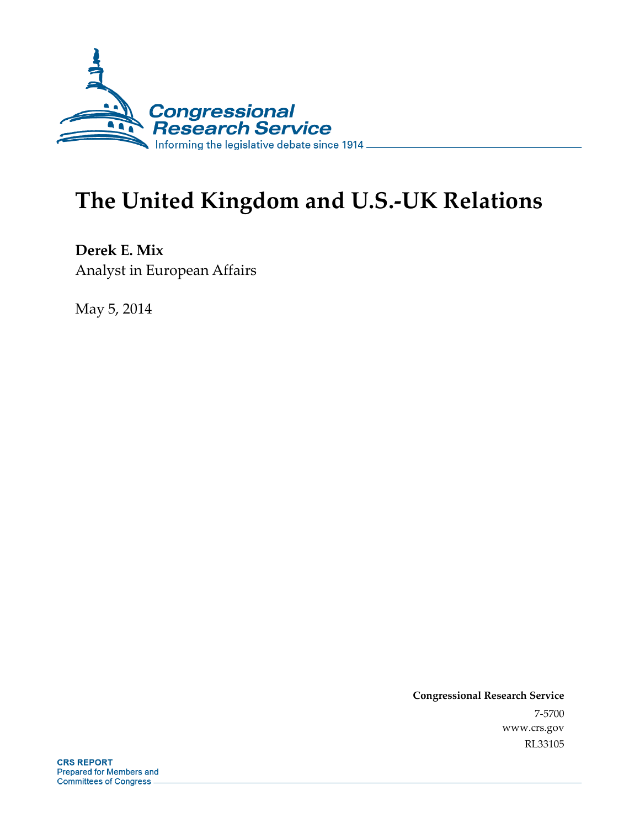

# **The United Kingdom and U.S.-UK Relations**

**Derek E. Mix**  Analyst in European Affairs

May 5, 2014

**Congressional Research Service**  7-5700 www.crs.gov RL33105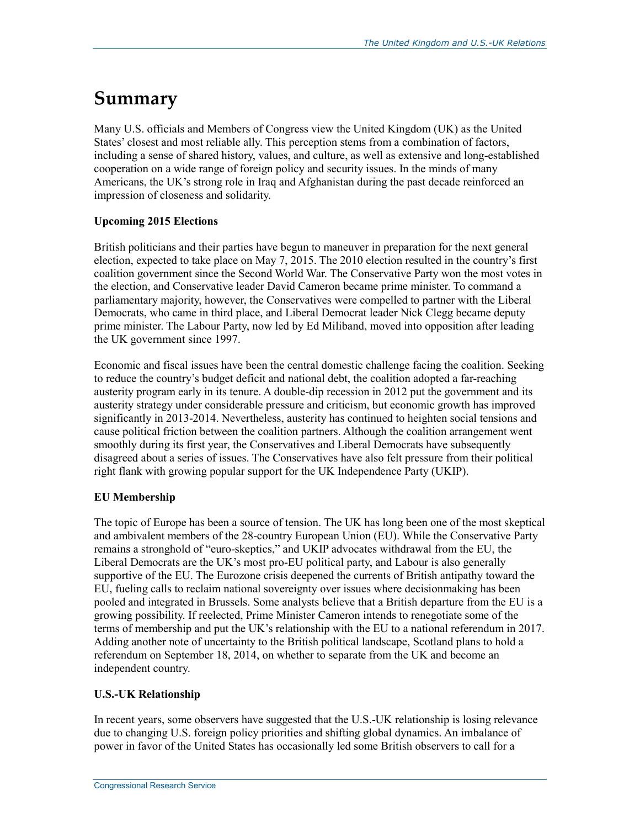## **Summary**

Many U.S. officials and Members of Congress view the United Kingdom (UK) as the United States' closest and most reliable ally. This perception stems from a combination of factors, including a sense of shared history, values, and culture, as well as extensive and long-established cooperation on a wide range of foreign policy and security issues. In the minds of many Americans, the UK's strong role in Iraq and Afghanistan during the past decade reinforced an impression of closeness and solidarity.

#### **Upcoming 2015 Elections**

British politicians and their parties have begun to maneuver in preparation for the next general election, expected to take place on May 7, 2015. The 2010 election resulted in the country's first coalition government since the Second World War. The Conservative Party won the most votes in the election, and Conservative leader David Cameron became prime minister. To command a parliamentary majority, however, the Conservatives were compelled to partner with the Liberal Democrats, who came in third place, and Liberal Democrat leader Nick Clegg became deputy prime minister. The Labour Party, now led by Ed Miliband, moved into opposition after leading the UK government since 1997.

Economic and fiscal issues have been the central domestic challenge facing the coalition. Seeking to reduce the country's budget deficit and national debt, the coalition adopted a far-reaching austerity program early in its tenure. A double-dip recession in 2012 put the government and its austerity strategy under considerable pressure and criticism, but economic growth has improved significantly in 2013-2014. Nevertheless, austerity has continued to heighten social tensions and cause political friction between the coalition partners. Although the coalition arrangement went smoothly during its first year, the Conservatives and Liberal Democrats have subsequently disagreed about a series of issues. The Conservatives have also felt pressure from their political right flank with growing popular support for the UK Independence Party (UKIP).

#### **EU Membership**

The topic of Europe has been a source of tension. The UK has long been one of the most skeptical and ambivalent members of the 28-country European Union (EU). While the Conservative Party remains a stronghold of "euro-skeptics," and UKIP advocates withdrawal from the EU, the Liberal Democrats are the UK's most pro-EU political party, and Labour is also generally supportive of the EU. The Eurozone crisis deepened the currents of British antipathy toward the EU, fueling calls to reclaim national sovereignty over issues where decisionmaking has been pooled and integrated in Brussels. Some analysts believe that a British departure from the EU is a growing possibility. If reelected, Prime Minister Cameron intends to renegotiate some of the terms of membership and put the UK's relationship with the EU to a national referendum in 2017. Adding another note of uncertainty to the British political landscape, Scotland plans to hold a referendum on September 18, 2014, on whether to separate from the UK and become an independent country.

#### **U.S.-UK Relationship**

In recent years, some observers have suggested that the U.S.-UK relationship is losing relevance due to changing U.S. foreign policy priorities and shifting global dynamics. An imbalance of power in favor of the United States has occasionally led some British observers to call for a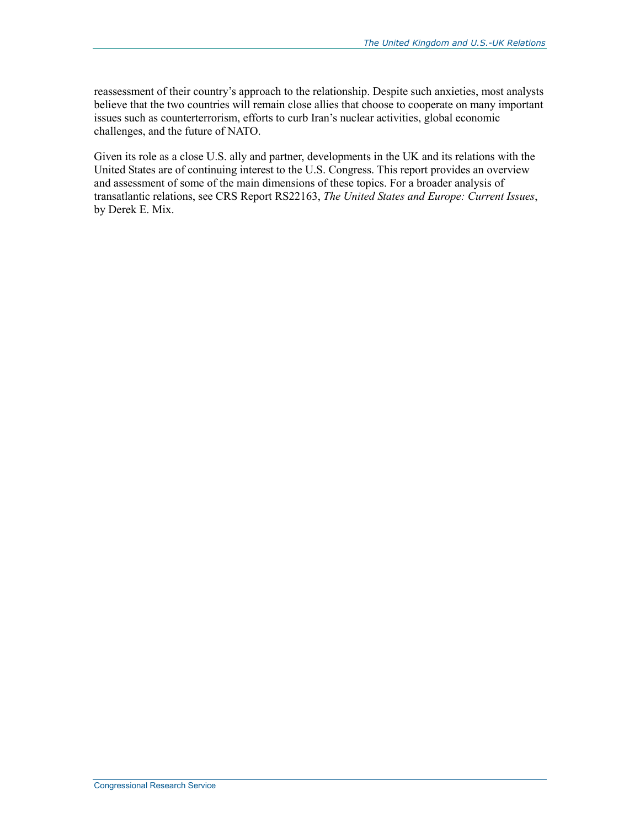reassessment of their country's approach to the relationship. Despite such anxieties, most analysts believe that the two countries will remain close allies that choose to cooperate on many important issues such as counterterrorism, efforts to curb Iran's nuclear activities, global economic challenges, and the future of NATO.

Given its role as a close U.S. ally and partner, developments in the UK and its relations with the United States are of continuing interest to the U.S. Congress. This report provides an overview and assessment of some of the main dimensions of these topics. For a broader analysis of transatlantic relations, see CRS Report RS22163, *The United States and Europe: Current Issues*, by Derek E. Mix.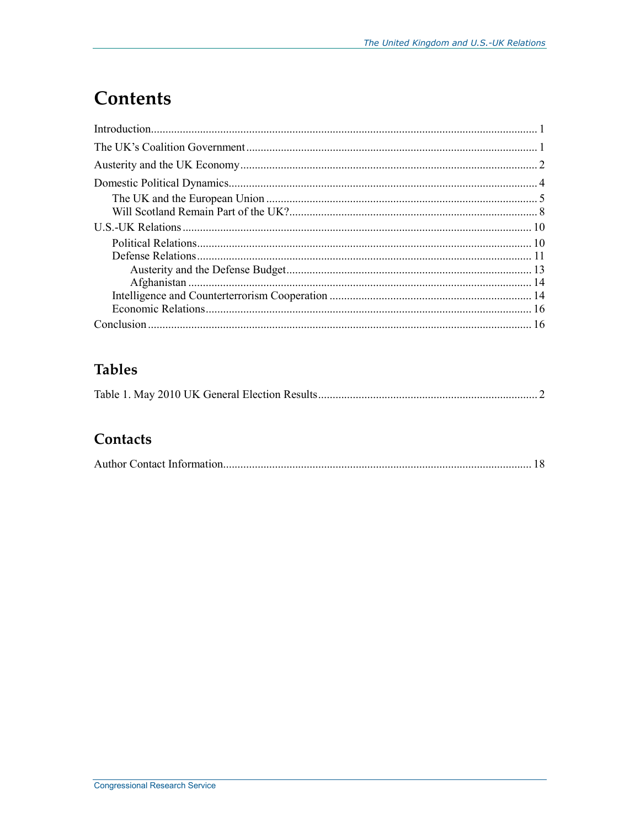## **Contents**

### **Tables**

|--|--|

### Contacts

|--|--|--|--|--|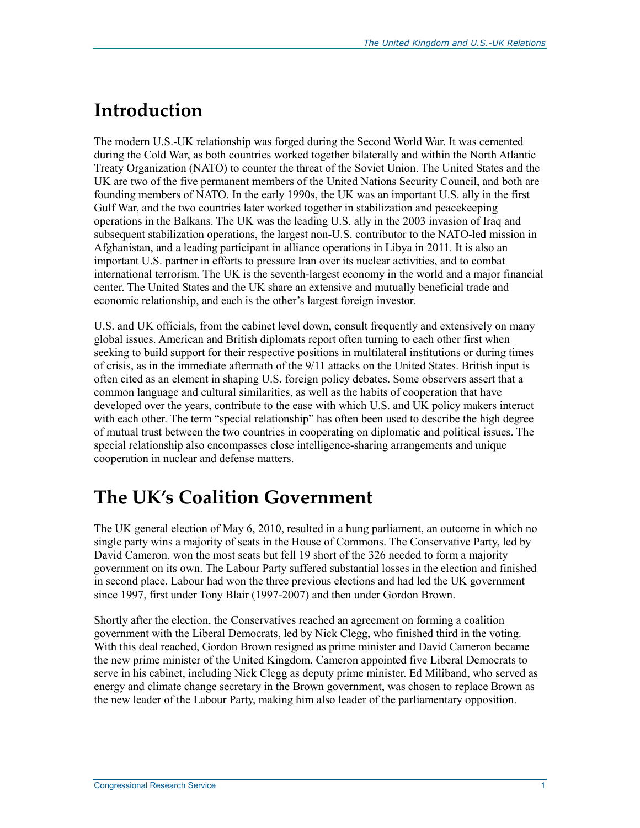## **Introduction**

The modern U.S.-UK relationship was forged during the Second World War. It was cemented during the Cold War, as both countries worked together bilaterally and within the North Atlantic Treaty Organization (NATO) to counter the threat of the Soviet Union. The United States and the UK are two of the five permanent members of the United Nations Security Council, and both are founding members of NATO. In the early 1990s, the UK was an important U.S. ally in the first Gulf War, and the two countries later worked together in stabilization and peacekeeping operations in the Balkans. The UK was the leading U.S. ally in the 2003 invasion of Iraq and subsequent stabilization operations, the largest non-U.S. contributor to the NATO-led mission in Afghanistan, and a leading participant in alliance operations in Libya in 2011. It is also an important U.S. partner in efforts to pressure Iran over its nuclear activities, and to combat international terrorism. The UK is the seventh-largest economy in the world and a major financial center. The United States and the UK share an extensive and mutually beneficial trade and economic relationship, and each is the other's largest foreign investor.

U.S. and UK officials, from the cabinet level down, consult frequently and extensively on many global issues. American and British diplomats report often turning to each other first when seeking to build support for their respective positions in multilateral institutions or during times of crisis, as in the immediate aftermath of the 9/11 attacks on the United States. British input is often cited as an element in shaping U.S. foreign policy debates. Some observers assert that a common language and cultural similarities, as well as the habits of cooperation that have developed over the years, contribute to the ease with which U.S. and UK policy makers interact with each other. The term "special relationship" has often been used to describe the high degree of mutual trust between the two countries in cooperating on diplomatic and political issues. The special relationship also encompasses close intelligence-sharing arrangements and unique cooperation in nuclear and defense matters.

## **The UK's Coalition Government**

The UK general election of May 6, 2010, resulted in a hung parliament, an outcome in which no single party wins a majority of seats in the House of Commons. The Conservative Party, led by David Cameron, won the most seats but fell 19 short of the 326 needed to form a majority government on its own. The Labour Party suffered substantial losses in the election and finished in second place. Labour had won the three previous elections and had led the UK government since 1997, first under Tony Blair (1997-2007) and then under Gordon Brown.

Shortly after the election, the Conservatives reached an agreement on forming a coalition government with the Liberal Democrats, led by Nick Clegg, who finished third in the voting. With this deal reached, Gordon Brown resigned as prime minister and David Cameron became the new prime minister of the United Kingdom. Cameron appointed five Liberal Democrats to serve in his cabinet, including Nick Clegg as deputy prime minister. Ed Miliband, who served as energy and climate change secretary in the Brown government, was chosen to replace Brown as the new leader of the Labour Party, making him also leader of the parliamentary opposition.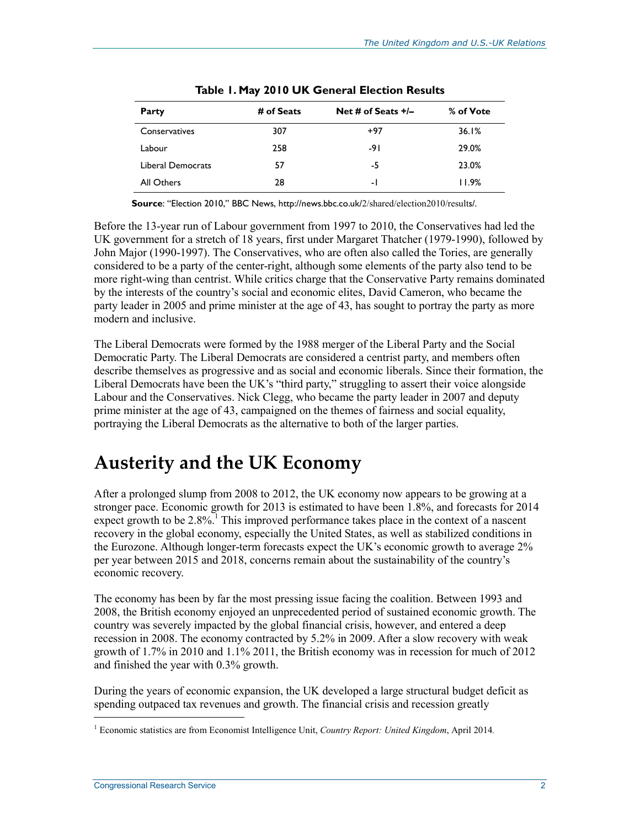| Party                    | # of Seats | Net # of Seats $+/-$ | % of Vote |
|--------------------------|------------|----------------------|-----------|
| Conservatives            | 307        | $+97$                | 36.1%     |
| Labour                   | 258        | -91                  | 29.0%     |
| <b>Liberal Democrats</b> | 57         | -5                   | 23.0%     |
| All Others               | 28         | $\overline{a}$       | 11.9%     |
|                          |            |                      |           |

|  |  |  | Table 1. May 2010 UK General Election Results |  |  |
|--|--|--|-----------------------------------------------|--|--|
|--|--|--|-----------------------------------------------|--|--|

**Source**: "Election 2010," BBC News, http://news.bbc.co.uk/2/shared/election2010/results/.

Before the 13-year run of Labour government from 1997 to 2010, the Conservatives had led the UK government for a stretch of 18 years, first under Margaret Thatcher (1979-1990), followed by John Major (1990-1997). The Conservatives, who are often also called the Tories, are generally considered to be a party of the center-right, although some elements of the party also tend to be more right-wing than centrist. While critics charge that the Conservative Party remains dominated by the interests of the country's social and economic elites, David Cameron, who became the party leader in 2005 and prime minister at the age of 43, has sought to portray the party as more modern and inclusive.

The Liberal Democrats were formed by the 1988 merger of the Liberal Party and the Social Democratic Party. The Liberal Democrats are considered a centrist party, and members often describe themselves as progressive and as social and economic liberals. Since their formation, the Liberal Democrats have been the UK's "third party," struggling to assert their voice alongside Labour and the Conservatives. Nick Clegg, who became the party leader in 2007 and deputy prime minister at the age of 43, campaigned on the themes of fairness and social equality, portraying the Liberal Democrats as the alternative to both of the larger parties.

### **Austerity and the UK Economy**

After a prolonged slump from 2008 to 2012, the UK economy now appears to be growing at a stronger pace. Economic growth for 2013 is estimated to have been 1.8%, and forecasts for 2014 expect growth to be  $2.8\%$ <sup>1</sup>. This improved performance takes place in the context of a nascent recovery in the global economy, especially the United States, as well as stabilized conditions in the Eurozone. Although longer-term forecasts expect the UK's economic growth to average 2% per year between 2015 and 2018, concerns remain about the sustainability of the country's economic recovery.

The economy has been by far the most pressing issue facing the coalition. Between 1993 and 2008, the British economy enjoyed an unprecedented period of sustained economic growth. The country was severely impacted by the global financial crisis, however, and entered a deep recession in 2008. The economy contracted by 5.2% in 2009. After a slow recovery with weak growth of 1.7% in 2010 and 1.1% 2011, the British economy was in recession for much of 2012 and finished the year with 0.3% growth.

During the years of economic expansion, the UK developed a large structural budget deficit as spending outpaced tax revenues and growth. The financial crisis and recession greatly

<sup>1</sup> Economic statistics are from Economist Intelligence Unit, *Country Report: United Kingdom*, April 2014*.*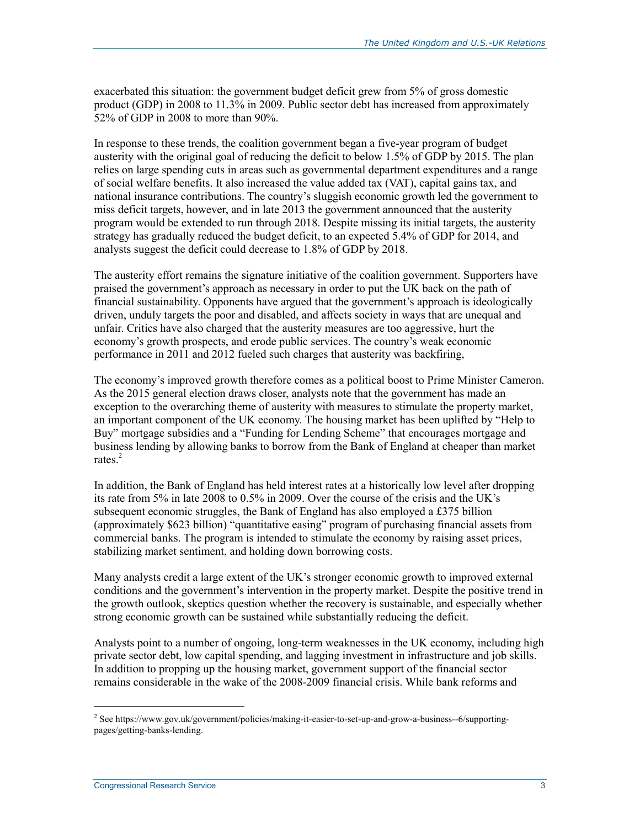exacerbated this situation: the government budget deficit grew from 5% of gross domestic product (GDP) in 2008 to 11.3% in 2009. Public sector debt has increased from approximately 52% of GDP in 2008 to more than 90%.

In response to these trends, the coalition government began a five-year program of budget austerity with the original goal of reducing the deficit to below 1.5% of GDP by 2015. The plan relies on large spending cuts in areas such as governmental department expenditures and a range of social welfare benefits. It also increased the value added tax (VAT), capital gains tax, and national insurance contributions. The country's sluggish economic growth led the government to miss deficit targets, however, and in late 2013 the government announced that the austerity program would be extended to run through 2018. Despite missing its initial targets, the austerity strategy has gradually reduced the budget deficit, to an expected 5.4% of GDP for 2014, and analysts suggest the deficit could decrease to 1.8% of GDP by 2018.

The austerity effort remains the signature initiative of the coalition government. Supporters have praised the government's approach as necessary in order to put the UK back on the path of financial sustainability. Opponents have argued that the government's approach is ideologically driven, unduly targets the poor and disabled, and affects society in ways that are unequal and unfair. Critics have also charged that the austerity measures are too aggressive, hurt the economy's growth prospects, and erode public services. The country's weak economic performance in 2011 and 2012 fueled such charges that austerity was backfiring,

The economy's improved growth therefore comes as a political boost to Prime Minister Cameron. As the 2015 general election draws closer, analysts note that the government has made an exception to the overarching theme of austerity with measures to stimulate the property market, an important component of the UK economy. The housing market has been uplifted by "Help to Buy" mortgage subsidies and a "Funding for Lending Scheme" that encourages mortgage and business lending by allowing banks to borrow from the Bank of England at cheaper than market rates. $2$ 

In addition, the Bank of England has held interest rates at a historically low level after dropping its rate from 5% in late 2008 to 0.5% in 2009. Over the course of the crisis and the UK's subsequent economic struggles, the Bank of England has also employed a £375 billion (approximately \$623 billion) "quantitative easing" program of purchasing financial assets from commercial banks. The program is intended to stimulate the economy by raising asset prices, stabilizing market sentiment, and holding down borrowing costs.

Many analysts credit a large extent of the UK's stronger economic growth to improved external conditions and the government's intervention in the property market. Despite the positive trend in the growth outlook, skeptics question whether the recovery is sustainable, and especially whether strong economic growth can be sustained while substantially reducing the deficit.

Analysts point to a number of ongoing, long-term weaknesses in the UK economy, including high private sector debt, low capital spending, and lagging investment in infrastructure and job skills. In addition to propping up the housing market, government support of the financial sector remains considerable in the wake of the 2008-2009 financial crisis. While bank reforms and

<sup>&</sup>lt;sup>2</sup> See https://www.gov.uk/government/policies/making-it-easier-to-set-up-and-grow-a-business--6/supportingpages/getting-banks-lending.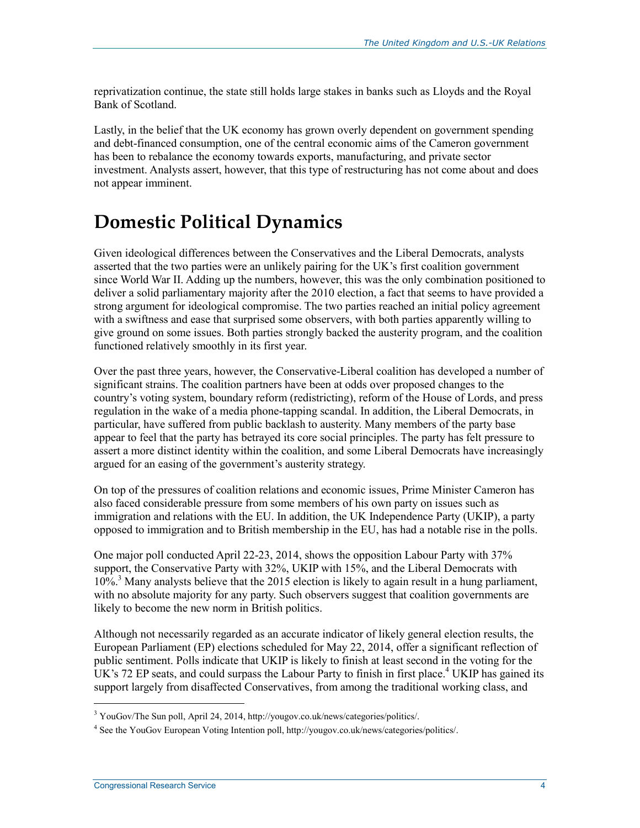reprivatization continue, the state still holds large stakes in banks such as Lloyds and the Royal Bank of Scotland.

Lastly, in the belief that the UK economy has grown overly dependent on government spending and debt-financed consumption, one of the central economic aims of the Cameron government has been to rebalance the economy towards exports, manufacturing, and private sector investment. Analysts assert, however, that this type of restructuring has not come about and does not appear imminent.

## **Domestic Political Dynamics**

Given ideological differences between the Conservatives and the Liberal Democrats, analysts asserted that the two parties were an unlikely pairing for the UK's first coalition government since World War II. Adding up the numbers, however, this was the only combination positioned to deliver a solid parliamentary majority after the 2010 election, a fact that seems to have provided a strong argument for ideological compromise. The two parties reached an initial policy agreement with a swiftness and ease that surprised some observers, with both parties apparently willing to give ground on some issues. Both parties strongly backed the austerity program, and the coalition functioned relatively smoothly in its first year.

Over the past three years, however, the Conservative-Liberal coalition has developed a number of significant strains. The coalition partners have been at odds over proposed changes to the country's voting system, boundary reform (redistricting), reform of the House of Lords, and press regulation in the wake of a media phone-tapping scandal. In addition, the Liberal Democrats, in particular, have suffered from public backlash to austerity. Many members of the party base appear to feel that the party has betrayed its core social principles. The party has felt pressure to assert a more distinct identity within the coalition, and some Liberal Democrats have increasingly argued for an easing of the government's austerity strategy.

On top of the pressures of coalition relations and economic issues, Prime Minister Cameron has also faced considerable pressure from some members of his own party on issues such as immigration and relations with the EU. In addition, the UK Independence Party (UKIP), a party opposed to immigration and to British membership in the EU, has had a notable rise in the polls.

One major poll conducted April 22-23, 2014, shows the opposition Labour Party with 37% support, the Conservative Party with 32%, UKIP with 15%, and the Liberal Democrats with 10%.<sup>3</sup> Many analysts believe that the 2015 election is likely to again result in a hung parliament, with no absolute majority for any party. Such observers suggest that coalition governments are likely to become the new norm in British politics.

Although not necessarily regarded as an accurate indicator of likely general election results, the European Parliament (EP) elections scheduled for May 22, 2014, offer a significant reflection of public sentiment. Polls indicate that UKIP is likely to finish at least second in the voting for the UK's 72 EP seats, and could surpass the Labour Party to finish in first place.<sup>4</sup> UKIP has gained its support largely from disaffected Conservatives, from among the traditional working class, and

<sup>&</sup>lt;sup>3</sup> YouGov/The Sun poll, April 24, 2014, http://yougov.co.uk/news/categories/politics/.

<sup>&</sup>lt;sup>4</sup> See the YouGov European Voting Intention poll, http://yougov.co.uk/news/categories/politics/.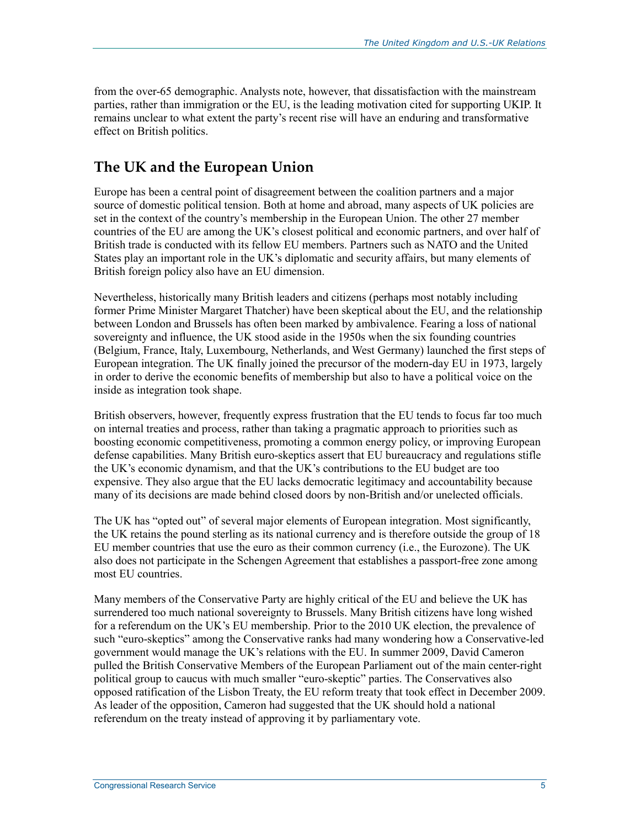from the over-65 demographic. Analysts note, however, that dissatisfaction with the mainstream parties, rather than immigration or the EU, is the leading motivation cited for supporting UKIP. It remains unclear to what extent the party's recent rise will have an enduring and transformative effect on British politics.

### **The UK and the European Union**

Europe has been a central point of disagreement between the coalition partners and a major source of domestic political tension. Both at home and abroad, many aspects of UK policies are set in the context of the country's membership in the European Union. The other 27 member countries of the EU are among the UK's closest political and economic partners, and over half of British trade is conducted with its fellow EU members. Partners such as NATO and the United States play an important role in the UK's diplomatic and security affairs, but many elements of British foreign policy also have an EU dimension.

Nevertheless, historically many British leaders and citizens (perhaps most notably including former Prime Minister Margaret Thatcher) have been skeptical about the EU, and the relationship between London and Brussels has often been marked by ambivalence. Fearing a loss of national sovereignty and influence, the UK stood aside in the 1950s when the six founding countries (Belgium, France, Italy, Luxembourg, Netherlands, and West Germany) launched the first steps of European integration. The UK finally joined the precursor of the modern-day EU in 1973, largely in order to derive the economic benefits of membership but also to have a political voice on the inside as integration took shape.

British observers, however, frequently express frustration that the EU tends to focus far too much on internal treaties and process, rather than taking a pragmatic approach to priorities such as boosting economic competitiveness, promoting a common energy policy, or improving European defense capabilities. Many British euro-skeptics assert that EU bureaucracy and regulations stifle the UK's economic dynamism, and that the UK's contributions to the EU budget are too expensive. They also argue that the EU lacks democratic legitimacy and accountability because many of its decisions are made behind closed doors by non-British and/or unelected officials.

The UK has "opted out" of several major elements of European integration. Most significantly, the UK retains the pound sterling as its national currency and is therefore outside the group of 18 EU member countries that use the euro as their common currency (i.e., the Eurozone). The UK also does not participate in the Schengen Agreement that establishes a passport-free zone among most EU countries.

Many members of the Conservative Party are highly critical of the EU and believe the UK has surrendered too much national sovereignty to Brussels. Many British citizens have long wished for a referendum on the UK's EU membership. Prior to the 2010 UK election, the prevalence of such "euro-skeptics" among the Conservative ranks had many wondering how a Conservative-led government would manage the UK's relations with the EU. In summer 2009, David Cameron pulled the British Conservative Members of the European Parliament out of the main center-right political group to caucus with much smaller "euro-skeptic" parties. The Conservatives also opposed ratification of the Lisbon Treaty, the EU reform treaty that took effect in December 2009. As leader of the opposition, Cameron had suggested that the UK should hold a national referendum on the treaty instead of approving it by parliamentary vote.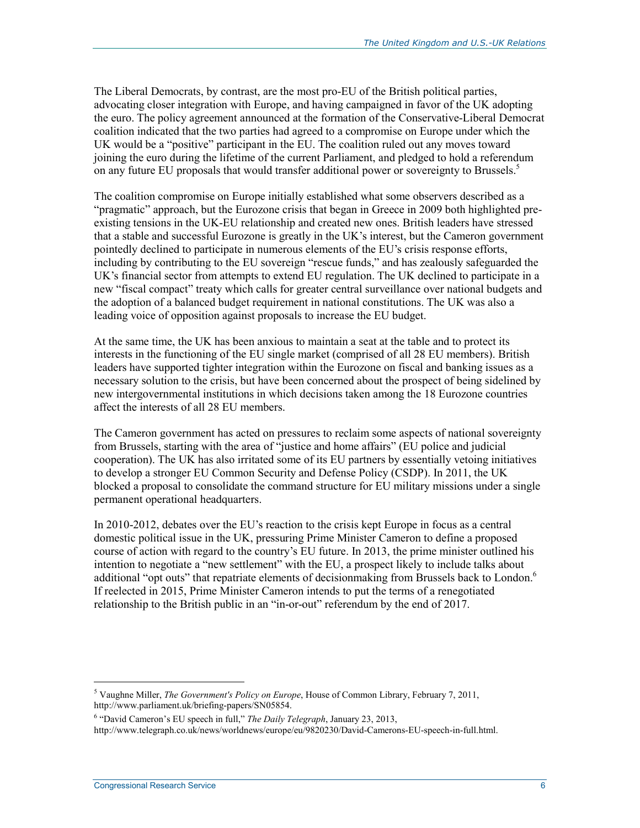The Liberal Democrats, by contrast, are the most pro-EU of the British political parties, advocating closer integration with Europe, and having campaigned in favor of the UK adopting the euro. The policy agreement announced at the formation of the Conservative-Liberal Democrat coalition indicated that the two parties had agreed to a compromise on Europe under which the UK would be a "positive" participant in the EU. The coalition ruled out any moves toward joining the euro during the lifetime of the current Parliament, and pledged to hold a referendum on any future EU proposals that would transfer additional power or sovereignty to Brussels.<sup>5</sup>

The coalition compromise on Europe initially established what some observers described as a "pragmatic" approach, but the Eurozone crisis that began in Greece in 2009 both highlighted preexisting tensions in the UK-EU relationship and created new ones. British leaders have stressed that a stable and successful Eurozone is greatly in the UK's interest, but the Cameron government pointedly declined to participate in numerous elements of the EU's crisis response efforts, including by contributing to the EU sovereign "rescue funds," and has zealously safeguarded the UK's financial sector from attempts to extend EU regulation. The UK declined to participate in a new "fiscal compact" treaty which calls for greater central surveillance over national budgets and the adoption of a balanced budget requirement in national constitutions. The UK was also a leading voice of opposition against proposals to increase the EU budget.

At the same time, the UK has been anxious to maintain a seat at the table and to protect its interests in the functioning of the EU single market (comprised of all 28 EU members). British leaders have supported tighter integration within the Eurozone on fiscal and banking issues as a necessary solution to the crisis, but have been concerned about the prospect of being sidelined by new intergovernmental institutions in which decisions taken among the 18 Eurozone countries affect the interests of all 28 EU members.

The Cameron government has acted on pressures to reclaim some aspects of national sovereignty from Brussels, starting with the area of "justice and home affairs" (EU police and judicial cooperation). The UK has also irritated some of its EU partners by essentially vetoing initiatives to develop a stronger EU Common Security and Defense Policy (CSDP). In 2011, the UK blocked a proposal to consolidate the command structure for EU military missions under a single permanent operational headquarters.

In 2010-2012, debates over the EU's reaction to the crisis kept Europe in focus as a central domestic political issue in the UK, pressuring Prime Minister Cameron to define a proposed course of action with regard to the country's EU future. In 2013, the prime minister outlined his intention to negotiate a "new settlement" with the EU, a prospect likely to include talks about additional "opt outs" that repatriate elements of decisionmaking from Brussels back to London.<sup>6</sup> If reelected in 2015, Prime Minister Cameron intends to put the terms of a renegotiated relationship to the British public in an "in-or-out" referendum by the end of 2017.

<sup>5</sup> Vaughne Miller, *The Government's Policy on Europe*, House of Common Library, February 7, 2011, http://www.parliament.uk/briefing-papers/SN05854.

<sup>&</sup>lt;sup>6</sup> "David Cameron's EU speech in full," *The Daily Telegraph*, January 23, 2013,

http://www.telegraph.co.uk/news/worldnews/europe/eu/9820230/David-Camerons-EU-speech-in-full.html.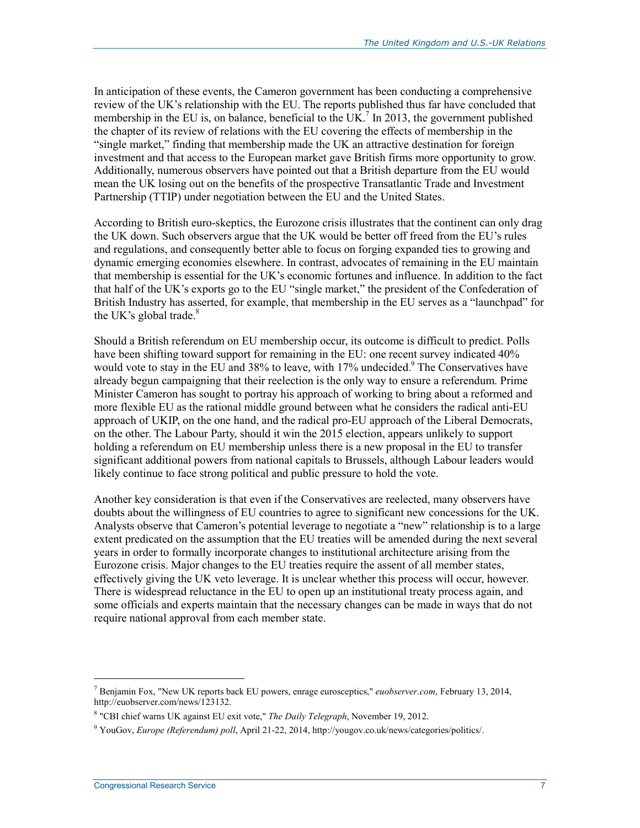In anticipation of these events, the Cameron government has been conducting a comprehensive review of the UK's relationship with the EU. The reports published thus far have concluded that membership in the EU is, on balance, beneficial to the UK.<sup>7</sup> In 2013, the government published the chapter of its review of relations with the EU covering the effects of membership in the "single market," finding that membership made the UK an attractive destination for foreign investment and that access to the European market gave British firms more opportunity to grow. Additionally, numerous observers have pointed out that a British departure from the EU would mean the UK losing out on the benefits of the prospective Transatlantic Trade and Investment Partnership (TTIP) under negotiation between the EU and the United States.

According to British euro-skeptics, the Eurozone crisis illustrates that the continent can only drag the UK down. Such observers argue that the UK would be better off freed from the EU's rules and regulations, and consequently better able to focus on forging expanded ties to growing and dynamic emerging economies elsewhere. In contrast, advocates of remaining in the EU maintain that membership is essential for the UK's economic fortunes and influence. In addition to the fact that half of the UK's exports go to the EU "single market," the president of the Confederation of British Industry has asserted, for example, that membership in the EU serves as a "launchpad" for the UK's global trade. $8$ 

Should a British referendum on EU membership occur, its outcome is difficult to predict. Polls have been shifting toward support for remaining in the EU: one recent survey indicated 40% would vote to stay in the EU and 38% to leave, with 17% undecided.<sup>9</sup> The Conservatives have already begun campaigning that their reelection is the only way to ensure a referendum. Prime Minister Cameron has sought to portray his approach of working to bring about a reformed and more flexible EU as the rational middle ground between what he considers the radical anti-EU approach of UKIP, on the one hand, and the radical pro-EU approach of the Liberal Democrats, on the other. The Labour Party, should it win the 2015 election, appears unlikely to support holding a referendum on EU membership unless there is a new proposal in the EU to transfer significant additional powers from national capitals to Brussels, although Labour leaders would likely continue to face strong political and public pressure to hold the vote.

Another key consideration is that even if the Conservatives are reelected, many observers have doubts about the willingness of EU countries to agree to significant new concessions for the UK. Analysts observe that Cameron's potential leverage to negotiate a "new" relationship is to a large extent predicated on the assumption that the EU treaties will be amended during the next several years in order to formally incorporate changes to institutional architecture arising from the Eurozone crisis. Major changes to the EU treaties require the assent of all member states, effectively giving the UK veto leverage. It is unclear whether this process will occur, however. There is widespread reluctance in the EU to open up an institutional treaty process again, and some officials and experts maintain that the necessary changes can be made in ways that do not require national approval from each member state.

<sup>7</sup> Benjamin Fox, "New UK reports back EU powers, enrage eurosceptics," *euobserver.com*, February 13, 2014, http://euobserver.com/news/123132.

<sup>8</sup> "CBI chief warns UK against EU exit vote," *The Daily Telegraph*, November 19, 2012.

<sup>9</sup> YouGov, *Europe (Referendum) poll*, April 21-22, 2014, http://yougov.co.uk/news/categories/politics/.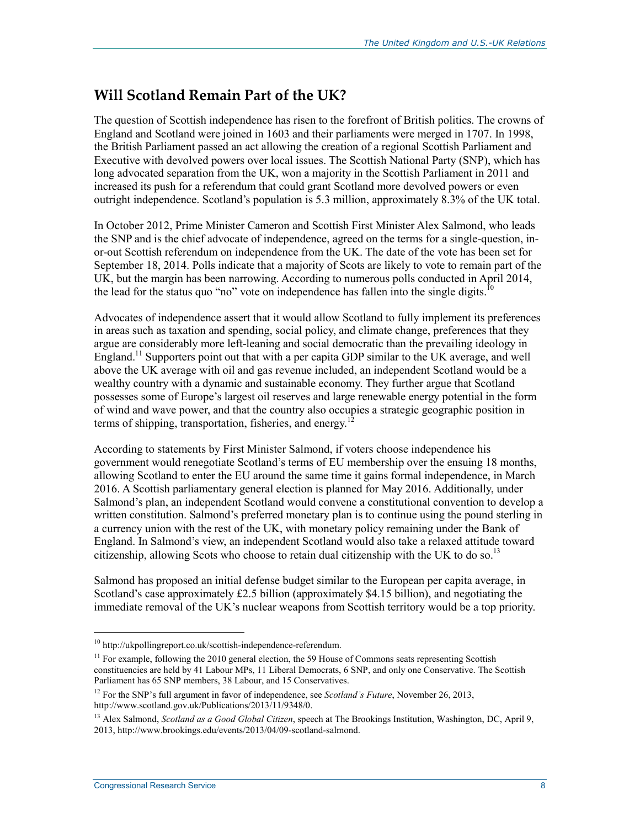### **Will Scotland Remain Part of the UK?**

The question of Scottish independence has risen to the forefront of British politics. The crowns of England and Scotland were joined in 1603 and their parliaments were merged in 1707. In 1998, the British Parliament passed an act allowing the creation of a regional Scottish Parliament and Executive with devolved powers over local issues. The Scottish National Party (SNP), which has long advocated separation from the UK, won a majority in the Scottish Parliament in 2011 and increased its push for a referendum that could grant Scotland more devolved powers or even outright independence. Scotland's population is 5.3 million, approximately 8.3% of the UK total.

In October 2012, Prime Minister Cameron and Scottish First Minister Alex Salmond, who leads the SNP and is the chief advocate of independence, agreed on the terms for a single-question, inor-out Scottish referendum on independence from the UK. The date of the vote has been set for September 18, 2014. Polls indicate that a majority of Scots are likely to vote to remain part of the UK, but the margin has been narrowing. According to numerous polls conducted in April 2014, the lead for the status quo "no" vote on independence has fallen into the single digits.<sup>10</sup>

Advocates of independence assert that it would allow Scotland to fully implement its preferences in areas such as taxation and spending, social policy, and climate change, preferences that they argue are considerably more left-leaning and social democratic than the prevailing ideology in England.<sup>11</sup> Supporters point out that with a per capita GDP similar to the UK average, and well above the UK average with oil and gas revenue included, an independent Scotland would be a wealthy country with a dynamic and sustainable economy. They further argue that Scotland possesses some of Europe's largest oil reserves and large renewable energy potential in the form of wind and wave power, and that the country also occupies a strategic geographic position in terms of shipping, transportation, fisheries, and energy.<sup>12</sup>

According to statements by First Minister Salmond, if voters choose independence his government would renegotiate Scotland's terms of EU membership over the ensuing 18 months, allowing Scotland to enter the EU around the same time it gains formal independence, in March 2016. A Scottish parliamentary general election is planned for May 2016. Additionally, under Salmond's plan, an independent Scotland would convene a constitutional convention to develop a written constitution. Salmond's preferred monetary plan is to continue using the pound sterling in a currency union with the rest of the UK, with monetary policy remaining under the Bank of England. In Salmond's view, an independent Scotland would also take a relaxed attitude toward citizenship, allowing Scots who choose to retain dual citizenship with the UK to do so.<sup>13</sup>

Salmond has proposed an initial defense budget similar to the European per capita average, in Scotland's case approximately  $£2.5$  billion (approximately \$4.15 billion), and negotiating the immediate removal of the UK's nuclear weapons from Scottish territory would be a top priority.

<sup>10</sup> http://ukpollingreport.co.uk/scottish-independence-referendum.

 $<sup>11</sup>$  For example, following the 2010 general election, the 59 House of Commons seats representing Scottish</sup> constituencies are held by 41 Labour MPs, 11 Liberal Democrats, 6 SNP, and only one Conservative. The Scottish Parliament has 65 SNP members, 38 Labour, and 15 Conservatives.

<sup>&</sup>lt;sup>12</sup> For the SNP's full argument in favor of independence, see *Scotland's Future*, November 26, 2013, http://www.scotland.gov.uk/Publications/2013/11/9348/0.

<sup>13</sup> Alex Salmond, *Scotland as a Good Global Citizen*, speech at The Brookings Institution, Washington, DC, April 9, 2013, http://www.brookings.edu/events/2013/04/09-scotland-salmond.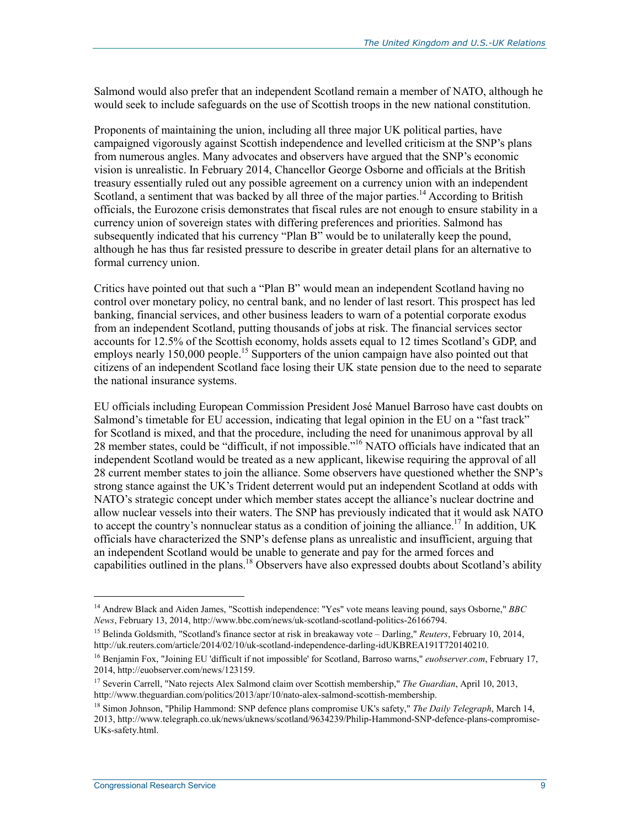Salmond would also prefer that an independent Scotland remain a member of NATO, although he would seek to include safeguards on the use of Scottish troops in the new national constitution.

Proponents of maintaining the union, including all three major UK political parties, have campaigned vigorously against Scottish independence and levelled criticism at the SNP's plans from numerous angles. Many advocates and observers have argued that the SNP's economic vision is unrealistic. In February 2014, Chancellor George Osborne and officials at the British treasury essentially ruled out any possible agreement on a currency union with an independent Scotland, a sentiment that was backed by all three of the major parties.<sup>14</sup> According to British officials, the Eurozone crisis demonstrates that fiscal rules are not enough to ensure stability in a currency union of sovereign states with differing preferences and priorities. Salmond has subsequently indicated that his currency "Plan B" would be to unilaterally keep the pound, although he has thus far resisted pressure to describe in greater detail plans for an alternative to formal currency union.

Critics have pointed out that such a "Plan B" would mean an independent Scotland having no control over monetary policy, no central bank, and no lender of last resort. This prospect has led banking, financial services, and other business leaders to warn of a potential corporate exodus from an independent Scotland, putting thousands of jobs at risk. The financial services sector accounts for 12.5% of the Scottish economy, holds assets equal to 12 times Scotland's GDP, and employs nearly 150,000 people.<sup>15</sup> Supporters of the union campaign have also pointed out that citizens of an independent Scotland face losing their UK state pension due to the need to separate the national insurance systems.

EU officials including European Commission President José Manuel Barroso have cast doubts on Salmond's timetable for EU accession, indicating that legal opinion in the EU on a "fast track" for Scotland is mixed, and that the procedure, including the need for unanimous approval by all 28 member states, could be "difficult, if not impossible."16 NATO officials have indicated that an independent Scotland would be treated as a new applicant, likewise requiring the approval of all 28 current member states to join the alliance. Some observers have questioned whether the SNP's strong stance against the UK's Trident deterrent would put an independent Scotland at odds with NATO's strategic concept under which member states accept the alliance's nuclear doctrine and allow nuclear vessels into their waters. The SNP has previously indicated that it would ask NATO to accept the country's nonnuclear status as a condition of joining the alliance.<sup>17</sup> In addition, UK officials have characterized the SNP's defense plans as unrealistic and insufficient, arguing that an independent Scotland would be unable to generate and pay for the armed forces and capabilities outlined in the plans.<sup>18</sup> Observers have also expressed doubts about Scotland's ability

 $\overline{\phantom{a}}$ 

<sup>14</sup> Andrew Black and Aiden James, "Scottish independence: "Yes" vote means leaving pound, says Osborne," *BBC News*, February 13, 2014, http://www.bbc.com/news/uk-scotland-scotland-politics-26166794.

<sup>15</sup> Belinda Goldsmith, "Scotland's finance sector at risk in breakaway vote – Darling," *Reuters*, February 10, 2014, http://uk.reuters.com/article/2014/02/10/uk-scotland-independence-darling-idUKBREA191T720140210.

<sup>16</sup> Benjamin Fox, "Joining EU 'difficult if not impossible' for Scotland, Barroso warns," *euobserver.com*, February 17, 2014, http://euobserver.com/news/123159.

<sup>17</sup> Severin Carrell, "Nato rejects Alex Salmond claim over Scottish membership," *The Guardian*, April 10, 2013, http://www.theguardian.com/politics/2013/apr/10/nato-alex-salmond-scottish-membership.

<sup>18</sup> Simon Johnson, "Philip Hammond: SNP defence plans compromise UK's safety," *The Daily Telegraph*, March 14, 2013, http://www.telegraph.co.uk/news/uknews/scotland/9634239/Philip-Hammond-SNP-defence-plans-compromise-UKs-safety.html.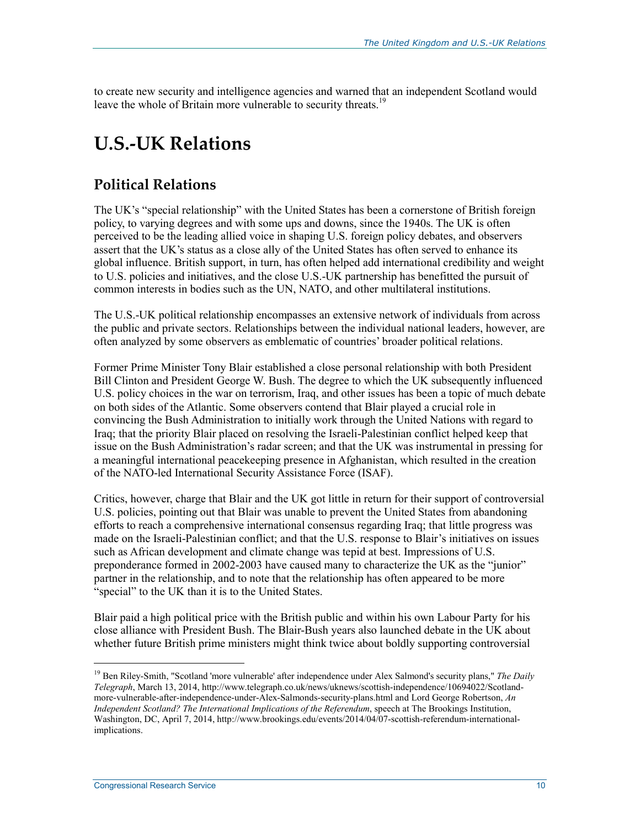to create new security and intelligence agencies and warned that an independent Scotland would leave the whole of Britain more vulnerable to security threats.<sup>19</sup>

## **U.S.-UK Relations**

### **Political Relations**

The UK's "special relationship" with the United States has been a cornerstone of British foreign policy, to varying degrees and with some ups and downs, since the 1940s. The UK is often perceived to be the leading allied voice in shaping U.S. foreign policy debates, and observers assert that the UK's status as a close ally of the United States has often served to enhance its global influence. British support, in turn, has often helped add international credibility and weight to U.S. policies and initiatives, and the close U.S.-UK partnership has benefitted the pursuit of common interests in bodies such as the UN, NATO, and other multilateral institutions.

The U.S.-UK political relationship encompasses an extensive network of individuals from across the public and private sectors. Relationships between the individual national leaders, however, are often analyzed by some observers as emblematic of countries' broader political relations.

Former Prime Minister Tony Blair established a close personal relationship with both President Bill Clinton and President George W. Bush. The degree to which the UK subsequently influenced U.S. policy choices in the war on terrorism, Iraq, and other issues has been a topic of much debate on both sides of the Atlantic. Some observers contend that Blair played a crucial role in convincing the Bush Administration to initially work through the United Nations with regard to Iraq; that the priority Blair placed on resolving the Israeli-Palestinian conflict helped keep that issue on the Bush Administration's radar screen; and that the UK was instrumental in pressing for a meaningful international peacekeeping presence in Afghanistan, which resulted in the creation of the NATO-led International Security Assistance Force (ISAF).

Critics, however, charge that Blair and the UK got little in return for their support of controversial U.S. policies, pointing out that Blair was unable to prevent the United States from abandoning efforts to reach a comprehensive international consensus regarding Iraq; that little progress was made on the Israeli-Palestinian conflict; and that the U.S. response to Blair's initiatives on issues such as African development and climate change was tepid at best. Impressions of U.S. preponderance formed in 2002-2003 have caused many to characterize the UK as the "junior" partner in the relationship, and to note that the relationship has often appeared to be more "special" to the UK than it is to the United States.

Blair paid a high political price with the British public and within his own Labour Party for his close alliance with President Bush. The Blair-Bush years also launched debate in the UK about whether future British prime ministers might think twice about boldly supporting controversial

 $\overline{\phantom{a}}$ 

<sup>&</sup>lt;sup>19</sup> Ben Riley-Smith, "Scotland 'more vulnerable' after independence under Alex Salmond's security plans," The Daily *Telegraph*, March 13, 2014, http://www.telegraph.co.uk/news/uknews/scottish-independence/10694022/Scotlandmore-vulnerable-after-independence-under-Alex-Salmonds-security-plans.html and Lord George Robertson, *An Independent Scotland? The International Implications of the Referendum*, speech at The Brookings Institution, Washington, DC, April 7, 2014, http://www.brookings.edu/events/2014/04/07-scottish-referendum-internationalimplications.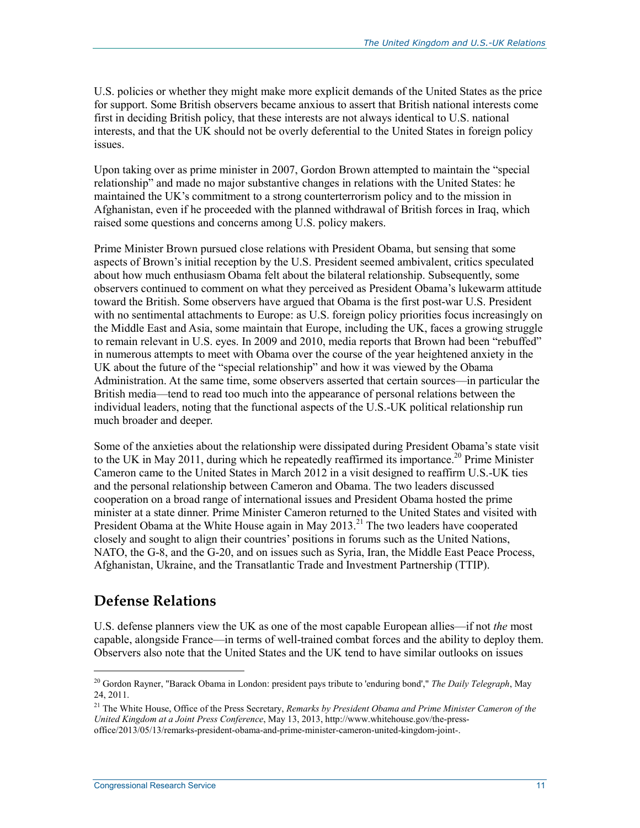U.S. policies or whether they might make more explicit demands of the United States as the price for support. Some British observers became anxious to assert that British national interests come first in deciding British policy, that these interests are not always identical to U.S. national interests, and that the UK should not be overly deferential to the United States in foreign policy issues.

Upon taking over as prime minister in 2007, Gordon Brown attempted to maintain the "special relationship" and made no major substantive changes in relations with the United States: he maintained the UK's commitment to a strong counterterrorism policy and to the mission in Afghanistan, even if he proceeded with the planned withdrawal of British forces in Iraq, which raised some questions and concerns among U.S. policy makers.

Prime Minister Brown pursued close relations with President Obama, but sensing that some aspects of Brown's initial reception by the U.S. President seemed ambivalent, critics speculated about how much enthusiasm Obama felt about the bilateral relationship. Subsequently, some observers continued to comment on what they perceived as President Obama's lukewarm attitude toward the British. Some observers have argued that Obama is the first post-war U.S. President with no sentimental attachments to Europe: as U.S. foreign policy priorities focus increasingly on the Middle East and Asia, some maintain that Europe, including the UK, faces a growing struggle to remain relevant in U.S. eyes. In 2009 and 2010, media reports that Brown had been "rebuffed" in numerous attempts to meet with Obama over the course of the year heightened anxiety in the UK about the future of the "special relationship" and how it was viewed by the Obama Administration. At the same time, some observers asserted that certain sources—in particular the British media—tend to read too much into the appearance of personal relations between the individual leaders, noting that the functional aspects of the U.S.-UK political relationship run much broader and deeper.

Some of the anxieties about the relationship were dissipated during President Obama's state visit to the UK in May 2011, during which he repeatedly reaffirmed its importance.<sup>20</sup> Prime Minister Cameron came to the United States in March 2012 in a visit designed to reaffirm U.S.-UK ties and the personal relationship between Cameron and Obama. The two leaders discussed cooperation on a broad range of international issues and President Obama hosted the prime minister at a state dinner. Prime Minister Cameron returned to the United States and visited with President Obama at the White House again in May  $2013$ <sup>21</sup> The two leaders have cooperated closely and sought to align their countries' positions in forums such as the United Nations, NATO, the G-8, and the G-20, and on issues such as Syria, Iran, the Middle East Peace Process, Afghanistan, Ukraine, and the Transatlantic Trade and Investment Partnership (TTIP).

#### **Defense Relations**

1

U.S. defense planners view the UK as one of the most capable European allies—if not *the* most capable, alongside France—in terms of well-trained combat forces and the ability to deploy them. Observers also note that the United States and the UK tend to have similar outlooks on issues

<sup>20</sup> Gordon Rayner, "Barack Obama in London: president pays tribute to 'enduring bond'," *The Daily Telegraph*, May 24, 2011.

<sup>21</sup> The White House, Office of the Press Secretary, *Remarks by President Obama and Prime Minister Cameron of the United Kingdom at a Joint Press Conference*, May 13, 2013, http://www.whitehouse.gov/the-pressoffice/2013/05/13/remarks-president-obama-and-prime-minister-cameron-united-kingdom-joint-.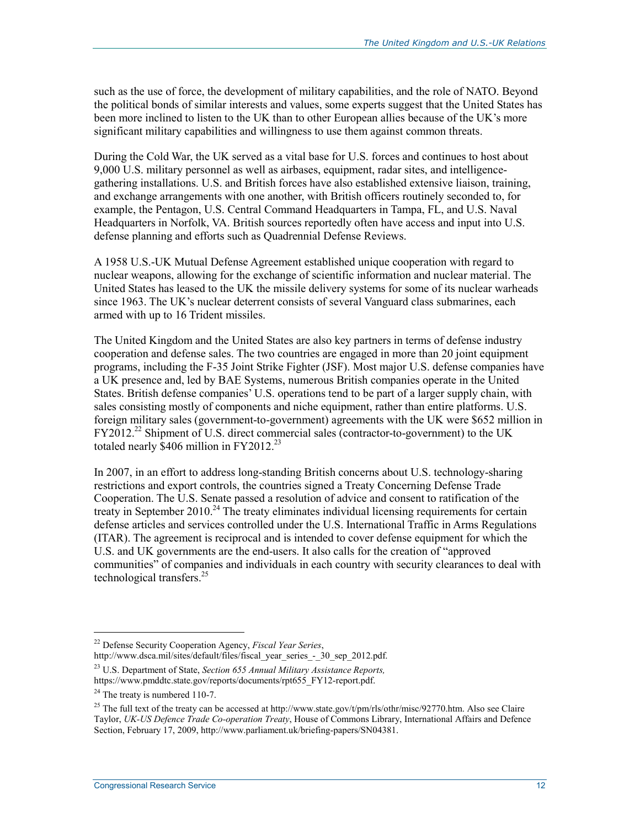such as the use of force, the development of military capabilities, and the role of NATO. Beyond the political bonds of similar interests and values, some experts suggest that the United States has been more inclined to listen to the UK than to other European allies because of the UK's more significant military capabilities and willingness to use them against common threats.

During the Cold War, the UK served as a vital base for U.S. forces and continues to host about 9,000 U.S. military personnel as well as airbases, equipment, radar sites, and intelligencegathering installations. U.S. and British forces have also established extensive liaison, training, and exchange arrangements with one another, with British officers routinely seconded to, for example, the Pentagon, U.S. Central Command Headquarters in Tampa, FL, and U.S. Naval Headquarters in Norfolk, VA. British sources reportedly often have access and input into U.S. defense planning and efforts such as Quadrennial Defense Reviews.

A 1958 U.S.-UK Mutual Defense Agreement established unique cooperation with regard to nuclear weapons, allowing for the exchange of scientific information and nuclear material. The United States has leased to the UK the missile delivery systems for some of its nuclear warheads since 1963. The UK's nuclear deterrent consists of several Vanguard class submarines, each armed with up to 16 Trident missiles.

The United Kingdom and the United States are also key partners in terms of defense industry cooperation and defense sales. The two countries are engaged in more than 20 joint equipment programs, including the F-35 Joint Strike Fighter (JSF). Most major U.S. defense companies have a UK presence and, led by BAE Systems, numerous British companies operate in the United States. British defense companies' U.S. operations tend to be part of a larger supply chain, with sales consisting mostly of components and niche equipment, rather than entire platforms. U.S. foreign military sales (government-to-government) agreements with the UK were \$652 million in  $FY2012.<sup>22</sup>$  Shipment of U.S. direct commercial sales (contractor-to-government) to the UK totaled nearly  $$406$  million in FY2012.<sup>23</sup>

In 2007, in an effort to address long-standing British concerns about U.S. technology-sharing restrictions and export controls, the countries signed a Treaty Concerning Defense Trade Cooperation. The U.S. Senate passed a resolution of advice and consent to ratification of the treaty in September 2010.<sup>24</sup> The treaty eliminates individual licensing requirements for certain defense articles and services controlled under the U.S. International Traffic in Arms Regulations (ITAR). The agreement is reciprocal and is intended to cover defense equipment for which the U.S. and UK governments are the end-users. It also calls for the creation of "approved communities" of companies and individuals in each country with security clearances to deal with technological transfers. $25$ 

<sup>22</sup> Defense Security Cooperation Agency, *Fiscal Year Series*, http://www.dsca.mil/sites/default/files/fiscal\_year\_series\_-\_30\_sep\_2012.pdf.

<sup>23</sup> U.S. Department of State, *Section 655 Annual Military Assistance Reports,*  https://www.pmddtc.state.gov/reports/documents/rpt655\_FY12-report.pdf.

 $24$  The treaty is numbered 110-7.

<sup>&</sup>lt;sup>25</sup> The full text of the treaty can be accessed at http://www.state.gov/t/pm/rls/othr/misc/92770.htm. Also see Claire Taylor, *UK-US Defence Trade Co-operation Treaty*, House of Commons Library, International Affairs and Defence Section, February 17, 2009, http://www.parliament.uk/briefing-papers/SN04381.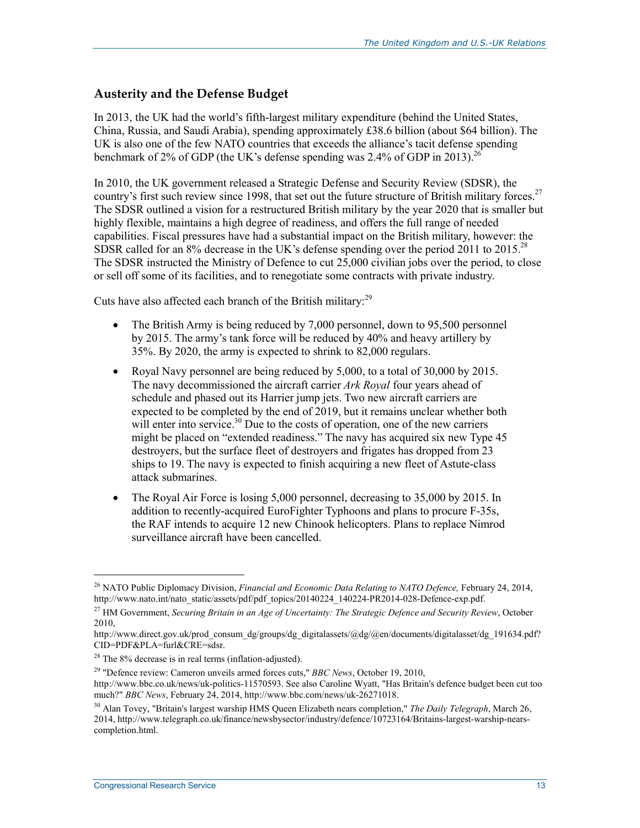#### **Austerity and the Defense Budget**

In 2013, the UK had the world's fifth-largest military expenditure (behind the United States, China, Russia, and Saudi Arabia), spending approximately £38.6 billion (about \$64 billion). The UK is also one of the few NATO countries that exceeds the alliance's tacit defense spending benchmark of 2% of GDP (the UK's defense spending was 2.4% of GDP in 2013).<sup>26</sup>

In 2010, the UK government released a Strategic Defense and Security Review (SDSR), the country's first such review since 1998, that set out the future structure of British military forces.<sup>27</sup> The SDSR outlined a vision for a restructured British military by the year 2020 that is smaller but highly flexible, maintains a high degree of readiness, and offers the full range of needed capabilities. Fiscal pressures have had a substantial impact on the British military, however: the SDSR called for an 8% decrease in the UK's defense spending over the period 2011 to 2015.<sup>28</sup> The SDSR instructed the Ministry of Defence to cut 25,000 civilian jobs over the period, to close or sell off some of its facilities, and to renegotiate some contracts with private industry.

Cuts have also affected each branch of the British military: $^{29}$ 

- The British Army is being reduced by 7,000 personnel, down to 95,500 personnel by 2015. The army's tank force will be reduced by 40% and heavy artillery by 35%. By 2020, the army is expected to shrink to 82,000 regulars.
- Royal Navy personnel are being reduced by 5,000, to a total of 30,000 by 2015. The navy decommissioned the aircraft carrier *Ark Royal* four years ahead of schedule and phased out its Harrier jump jets. Two new aircraft carriers are expected to be completed by the end of 2019, but it remains unclear whether both will enter into service.<sup>30</sup> Due to the costs of operation, one of the new carriers might be placed on "extended readiness." The navy has acquired six new Type 45 destroyers, but the surface fleet of destroyers and frigates has dropped from 23 ships to 19. The navy is expected to finish acquiring a new fleet of Astute-class attack submarines.
- The Royal Air Force is losing 5,000 personnel, decreasing to 35,000 by 2015. In addition to recently-acquired EuroFighter Typhoons and plans to procure F-35s, the RAF intends to acquire 12 new Chinook helicopters. Plans to replace Nimrod surveillance aircraft have been cancelled.

<sup>&</sup>lt;sup>26</sup> NATO Public Diplomacy Division, *Financial and Economic Data Relating to NATO Defence*, February 24, 2014, http://www.nato.int/nato\_static/assets/pdf/pdf\_topics/20140224\_140224-PR2014-028-Defence-exp.pdf.

<sup>27</sup> HM Government, *Securing Britain in an Age of Uncertainty: The Strategic Defence and Security Review*, October 2010,

http://www.direct.gov.uk/prod\_consum\_dg/groups/dg\_digitalassets/@dg/@en/documents/digitalasset/dg\_191634.pdf? CID=PDF&PLA=furl&CRE=sdsr.

 $28$  The  $8\%$  decrease is in real terms (inflation-adjusted).

<sup>29 &</sup>quot;Defence review: Cameron unveils armed forces cuts," *BBC News*, October 19, 2010, http://www.bbc.co.uk/news/uk-politics-11570593. See also Caroline Wyatt, "Has Britain's defence budget been cut too much?" *BBC News*, February 24, 2014, http://www.bbc.com/news/uk-26271018.

<sup>30</sup> Alan Tovey, "Britain's largest warship HMS Queen Elizabeth nears completion," *The Daily Telegraph*, March 26, 2014, http://www.telegraph.co.uk/finance/newsbysector/industry/defence/10723164/Britains-largest-warship-nearscompletion.html.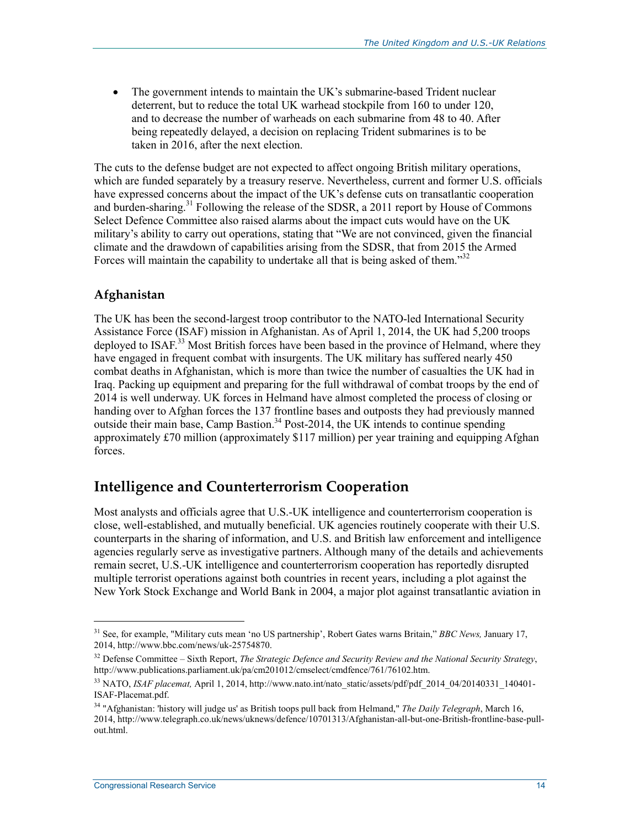The government intends to maintain the UK's submarine-based Trident nuclear deterrent, but to reduce the total UK warhead stockpile from 160 to under 120, and to decrease the number of warheads on each submarine from 48 to 40. After being repeatedly delayed, a decision on replacing Trident submarines is to be taken in 2016, after the next election.

The cuts to the defense budget are not expected to affect ongoing British military operations, which are funded separately by a treasury reserve. Nevertheless, current and former U.S. officials have expressed concerns about the impact of the UK's defense cuts on transatlantic cooperation and burden-sharing.<sup>31</sup> Following the release of the SDSR, a 2011 report by House of Commons Select Defence Committee also raised alarms about the impact cuts would have on the UK military's ability to carry out operations, stating that "We are not convinced, given the financial climate and the drawdown of capabilities arising from the SDSR, that from 2015 the Armed Forces will maintain the capability to undertake all that is being asked of them."<sup>32</sup>

#### **Afghanistan**

The UK has been the second-largest troop contributor to the NATO-led International Security Assistance Force (ISAF) mission in Afghanistan. As of April 1, 2014, the UK had 5,200 troops deployed to ISAF.<sup>33</sup> Most British forces have been based in the province of Helmand, where they have engaged in frequent combat with insurgents. The UK military has suffered nearly 450 combat deaths in Afghanistan, which is more than twice the number of casualties the UK had in Iraq. Packing up equipment and preparing for the full withdrawal of combat troops by the end of 2014 is well underway. UK forces in Helmand have almost completed the process of closing or handing over to Afghan forces the 137 frontline bases and outposts they had previously manned outside their main base, Camp Bastion.<sup>34</sup> Post-2014, the UK intends to continue spending approximately £70 million (approximately \$117 million) per year training and equipping Afghan forces.

#### **Intelligence and Counterterrorism Cooperation**

Most analysts and officials agree that U.S.-UK intelligence and counterterrorism cooperation is close, well-established, and mutually beneficial. UK agencies routinely cooperate with their U.S. counterparts in the sharing of information, and U.S. and British law enforcement and intelligence agencies regularly serve as investigative partners. Although many of the details and achievements remain secret, U.S.-UK intelligence and counterterrorism cooperation has reportedly disrupted multiple terrorist operations against both countries in recent years, including a plot against the New York Stock Exchange and World Bank in 2004, a major plot against transatlantic aviation in

 $\overline{\phantom{a}}$ 

<sup>31</sup> See, for example, "Military cuts mean 'no US partnership', Robert Gates warns Britain," *BBC News,* January 17, 2014, http://www.bbc.com/news/uk-25754870.

<sup>32</sup> Defense Committee – Sixth Report, *The Strategic Defence and Security Review and the National Security Strategy*, http://www.publications.parliament.uk/pa/cm201012/cmselect/cmdfence/761/76102.htm.

<sup>&</sup>lt;sup>33</sup> NATO, *ISAF placemat*, April 1, 2014, http://www.nato.int/nato\_static/assets/pdf/pdf\_2014\_04/20140331\_140401-ISAF-Placemat.pdf.

<sup>34 &</sup>quot;Afghanistan: 'history will judge us' as British toops pull back from Helmand," *The Daily Telegraph*, March 16, 2014, http://www.telegraph.co.uk/news/uknews/defence/10701313/Afghanistan-all-but-one-British-frontline-base-pullout.html.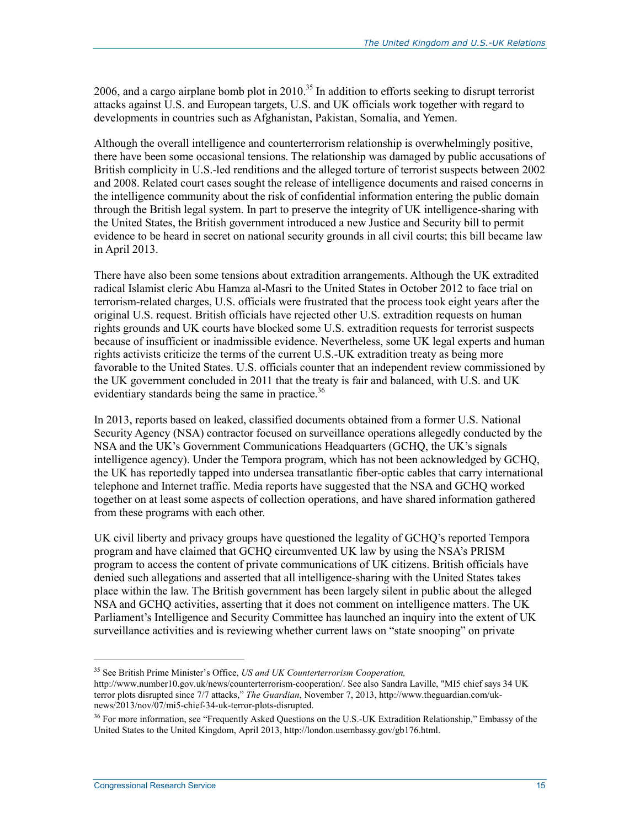2006, and a cargo airplane bomb plot in  $2010^{35}$  In addition to efforts seeking to disrupt terrorist attacks against U.S. and European targets, U.S. and UK officials work together with regard to developments in countries such as Afghanistan, Pakistan, Somalia, and Yemen.

Although the overall intelligence and counterterrorism relationship is overwhelmingly positive, there have been some occasional tensions. The relationship was damaged by public accusations of British complicity in U.S.-led renditions and the alleged torture of terrorist suspects between 2002 and 2008. Related court cases sought the release of intelligence documents and raised concerns in the intelligence community about the risk of confidential information entering the public domain through the British legal system. In part to preserve the integrity of UK intelligence-sharing with the United States, the British government introduced a new Justice and Security bill to permit evidence to be heard in secret on national security grounds in all civil courts; this bill became law in April 2013.

There have also been some tensions about extradition arrangements. Although the UK extradited radical Islamist cleric Abu Hamza al-Masri to the United States in October 2012 to face trial on terrorism-related charges, U.S. officials were frustrated that the process took eight years after the original U.S. request. British officials have rejected other U.S. extradition requests on human rights grounds and UK courts have blocked some U.S. extradition requests for terrorist suspects because of insufficient or inadmissible evidence. Nevertheless, some UK legal experts and human rights activists criticize the terms of the current U.S.-UK extradition treaty as being more favorable to the United States. U.S. officials counter that an independent review commissioned by the UK government concluded in 2011 that the treaty is fair and balanced, with U.S. and UK evidentiary standards being the same in practice.<sup>36</sup>

In 2013, reports based on leaked, classified documents obtained from a former U.S. National Security Agency (NSA) contractor focused on surveillance operations allegedly conducted by the NSA and the UK's Government Communications Headquarters (GCHQ, the UK's signals intelligence agency). Under the Tempora program, which has not been acknowledged by GCHQ, the UK has reportedly tapped into undersea transatlantic fiber-optic cables that carry international telephone and Internet traffic. Media reports have suggested that the NSA and GCHQ worked together on at least some aspects of collection operations, and have shared information gathered from these programs with each other.

UK civil liberty and privacy groups have questioned the legality of GCHQ's reported Tempora program and have claimed that GCHQ circumvented UK law by using the NSA's PRISM program to access the content of private communications of UK citizens. British officials have denied such allegations and asserted that all intelligence-sharing with the United States takes place within the law. The British government has been largely silent in public about the alleged NSA and GCHQ activities, asserting that it does not comment on intelligence matters. The UK Parliament's Intelligence and Security Committee has launched an inquiry into the extent of UK surveillance activities and is reviewing whether current laws on "state snooping" on private

 $\overline{\phantom{a}}$ 

<sup>35</sup> See British Prime Minister's Office, *US and UK Counterterrorism Cooperation,*

http://www.number10.gov.uk/news/counterterrorism-cooperation/. See also Sandra Laville, "MI5 chief says 34 UK terror plots disrupted since 7/7 attacks," *The Guardian*, November 7, 2013, http://www.theguardian.com/uknews/2013/nov/07/mi5-chief-34-uk-terror-plots-disrupted.

<sup>&</sup>lt;sup>36</sup> For more information, see "Frequently Asked Questions on the U.S.-UK Extradition Relationship," Embassy of the United States to the United Kingdom, April 2013, http://london.usembassy.gov/gb176.html.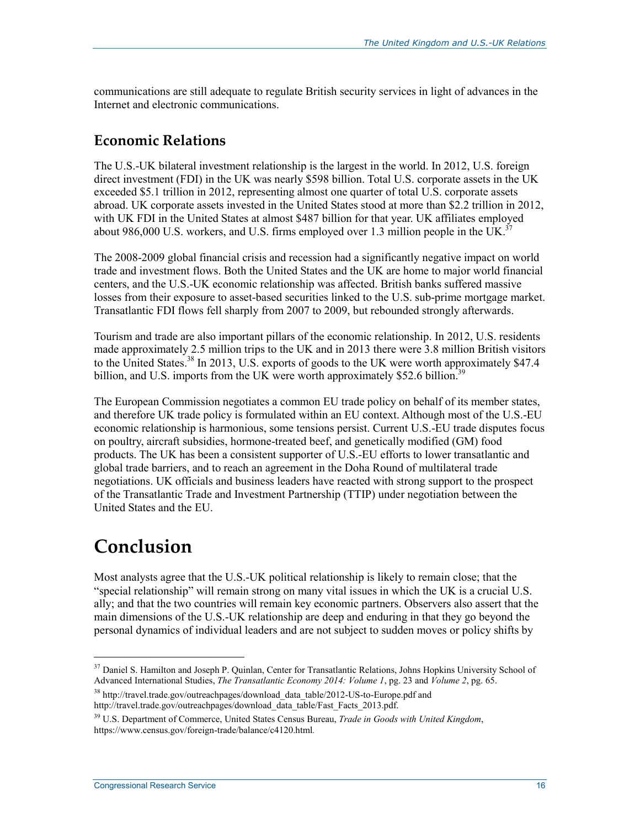communications are still adequate to regulate British security services in light of advances in the Internet and electronic communications.

### **Economic Relations**

The U.S.-UK bilateral investment relationship is the largest in the world. In 2012, U.S. foreign direct investment (FDI) in the UK was nearly \$598 billion. Total U.S. corporate assets in the UK exceeded \$5.1 trillion in 2012, representing almost one quarter of total U.S. corporate assets abroad. UK corporate assets invested in the United States stood at more than \$2.2 trillion in 2012, with UK FDI in the United States at almost \$487 billion for that year. UK affiliates employed about 986,000 U.S. workers, and U.S. firms employed over 1.3 million people in the UK.<sup>37</sup>

The 2008-2009 global financial crisis and recession had a significantly negative impact on world trade and investment flows. Both the United States and the UK are home to major world financial centers, and the U.S.-UK economic relationship was affected. British banks suffered massive losses from their exposure to asset-based securities linked to the U.S. sub-prime mortgage market. Transatlantic FDI flows fell sharply from 2007 to 2009, but rebounded strongly afterwards.

Tourism and trade are also important pillars of the economic relationship. In 2012, U.S. residents made approximately 2.5 million trips to the UK and in 2013 there were 3.8 million British visitors to the United States.<sup>38</sup> In 2013, U.S. exports of goods to the UK were worth approximately \$47.4 billion, and U.S. imports from the UK were worth approximately \$52.6 billion.<sup>39</sup>

The European Commission negotiates a common EU trade policy on behalf of its member states, and therefore UK trade policy is formulated within an EU context. Although most of the U.S.-EU economic relationship is harmonious, some tensions persist. Current U.S.-EU trade disputes focus on poultry, aircraft subsidies, hormone-treated beef, and genetically modified (GM) food products. The UK has been a consistent supporter of U.S.-EU efforts to lower transatlantic and global trade barriers, and to reach an agreement in the Doha Round of multilateral trade negotiations. UK officials and business leaders have reacted with strong support to the prospect of the Transatlantic Trade and Investment Partnership (TTIP) under negotiation between the United States and the EU.

## **Conclusion**

 $\overline{\phantom{a}}$ 

Most analysts agree that the U.S.-UK political relationship is likely to remain close; that the "special relationship" will remain strong on many vital issues in which the UK is a crucial U.S. ally; and that the two countries will remain key economic partners. Observers also assert that the main dimensions of the U.S.-UK relationship are deep and enduring in that they go beyond the personal dynamics of individual leaders and are not subject to sudden moves or policy shifts by

<sup>&</sup>lt;sup>37</sup> Daniel S. Hamilton and Joseph P. Quinlan, Center for Transatlantic Relations, Johns Hopkins University School of Advanced International Studies, *The Transatlantic Economy 2014: Volume 1*, pg. 23 and *Volume 2*, pg. 65.

<sup>&</sup>lt;sup>38</sup> http://travel.trade.gov/outreachpages/download\_data\_table/2012-US-to-Europe.pdf and http://travel.trade.gov/outreachpages/download\_data\_table/Fast\_Facts\_2013.pdf.

<sup>39</sup> U.S. Department of Commerce, United States Census Bureau, *Trade in Goods with United Kingdom*, https://www.census.gov/foreign-trade/balance/c4120.html*.*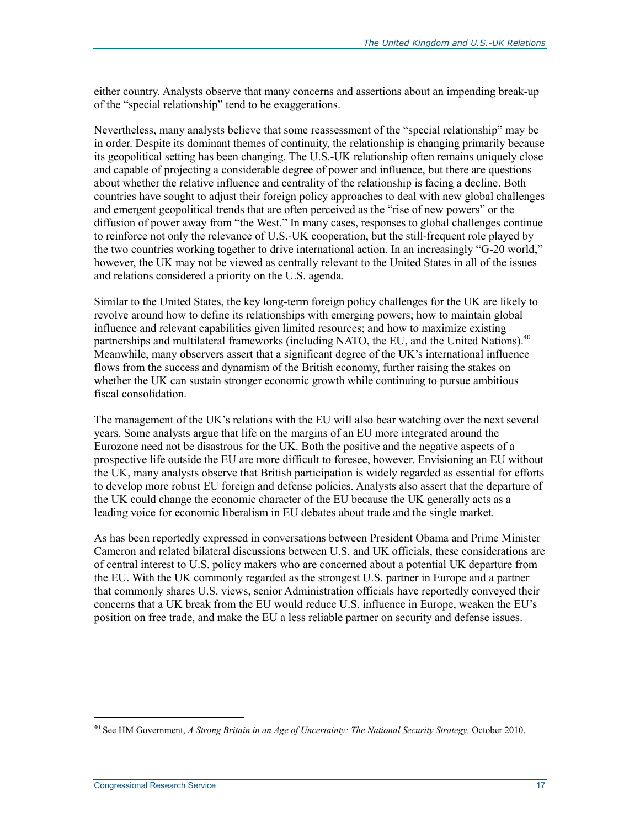either country. Analysts observe that many concerns and assertions about an impending break-up of the "special relationship" tend to be exaggerations.

Nevertheless, many analysts believe that some reassessment of the "special relationship" may be in order. Despite its dominant themes of continuity, the relationship is changing primarily because its geopolitical setting has been changing. The U.S.-UK relationship often remains uniquely close and capable of projecting a considerable degree of power and influence, but there are questions about whether the relative influence and centrality of the relationship is facing a decline. Both countries have sought to adjust their foreign policy approaches to deal with new global challenges and emergent geopolitical trends that are often perceived as the "rise of new powers" or the diffusion of power away from "the West." In many cases, responses to global challenges continue to reinforce not only the relevance of U.S.-UK cooperation, but the still-frequent role played by the two countries working together to drive international action. In an increasingly "G-20 world," however, the UK may not be viewed as centrally relevant to the United States in all of the issues and relations considered a priority on the U.S. agenda.

Similar to the United States, the key long-term foreign policy challenges for the UK are likely to revolve around how to define its relationships with emerging powers; how to maintain global influence and relevant capabilities given limited resources; and how to maximize existing partnerships and multilateral frameworks (including NATO, the EU, and the United Nations).<sup>40</sup> Meanwhile, many observers assert that a significant degree of the UK's international influence flows from the success and dynamism of the British economy, further raising the stakes on whether the UK can sustain stronger economic growth while continuing to pursue ambitious fiscal consolidation.

The management of the UK's relations with the EU will also bear watching over the next several years. Some analysts argue that life on the margins of an EU more integrated around the Eurozone need not be disastrous for the UK. Both the positive and the negative aspects of a prospective life outside the EU are more difficult to foresee, however. Envisioning an EU without the UK, many analysts observe that British participation is widely regarded as essential for efforts to develop more robust EU foreign and defense policies. Analysts also assert that the departure of the UK could change the economic character of the EU because the UK generally acts as a leading voice for economic liberalism in EU debates about trade and the single market.

As has been reportedly expressed in conversations between President Obama and Prime Minister Cameron and related bilateral discussions between U.S. and UK officials, these considerations are of central interest to U.S. policy makers who are concerned about a potential UK departure from the EU. With the UK commonly regarded as the strongest U.S. partner in Europe and a partner that commonly shares U.S. views, senior Administration officials have reportedly conveyed their concerns that a UK break from the EU would reduce U.S. influence in Europe, weaken the EU's position on free trade, and make the EU a less reliable partner on security and defense issues.

<sup>40</sup> See HM Government, *A Strong Britain in an Age of Uncertainty: The National Security Strategy,* October 2010.